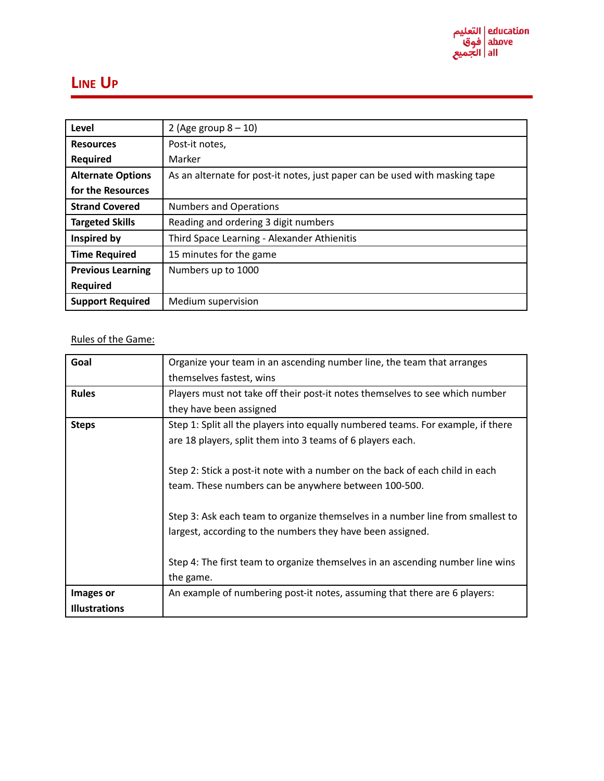

## **LINE UP**

| Level                    | 2 (Age group $8 - 10$ )                                                     |
|--------------------------|-----------------------------------------------------------------------------|
| <b>Resources</b>         | Post-it notes,                                                              |
| <b>Required</b>          | Marker                                                                      |
| <b>Alternate Options</b> | As an alternate for post-it notes, just paper can be used with masking tape |
| for the Resources        |                                                                             |
| <b>Strand Covered</b>    | <b>Numbers and Operations</b>                                               |
| <b>Targeted Skills</b>   | Reading and ordering 3 digit numbers                                        |
| Inspired by              | Third Space Learning - Alexander Athienitis                                 |
| <b>Time Required</b>     | 15 minutes for the game                                                     |
| <b>Previous Learning</b> | Numbers up to 1000                                                          |
| <b>Required</b>          |                                                                             |
| <b>Support Required</b>  | Medium supervision                                                          |

Rules of the Game:

| Goal                 | Organize your team in an ascending number line, the team that arranges           |
|----------------------|----------------------------------------------------------------------------------|
|                      | themselves fastest, wins                                                         |
| <b>Rules</b>         | Players must not take off their post-it notes themselves to see which number     |
|                      | they have been assigned                                                          |
| <b>Steps</b>         | Step 1: Split all the players into equally numbered teams. For example, if there |
|                      | are 18 players, split them into 3 teams of 6 players each.                       |
|                      |                                                                                  |
|                      | Step 2: Stick a post-it note with a number on the back of each child in each     |
|                      | team. These numbers can be anywhere between 100-500.                             |
|                      |                                                                                  |
|                      | Step 3: Ask each team to organize themselves in a number line from smallest to   |
|                      | largest, according to the numbers they have been assigned.                       |
|                      |                                                                                  |
|                      | Step 4: The first team to organize themselves in an ascending number line wins   |
|                      | the game.                                                                        |
|                      |                                                                                  |
| Images or            | An example of numbering post-it notes, assuming that there are 6 players:        |
| <b>Illustrations</b> |                                                                                  |